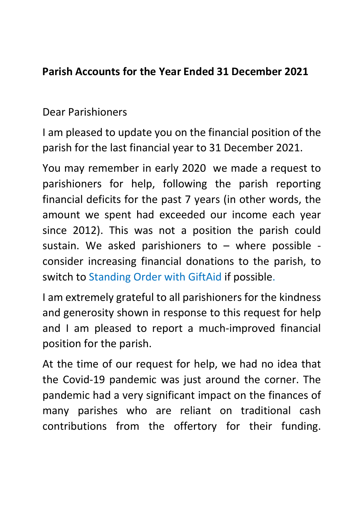## Parish Accounts for the Year Ended 31 December 2021

## Dear Parishioners

I am pleased to update you on the financial position of the parish for the last financial year to 31 December 2021.

You may remember in early 2020 we made a request to parishioners for help, following the parish reporting financial deficits for the past 7 years (in other words, the amount we spent had exceeded our income each year since 2012). This was not a position the parish could sustain. We asked parishioners to  $-$  where possible consider increasing financial donations to the parish, to switch to Standing Order with GiftAid if possible.

I am extremely grateful to all parishioners for the kindness and generosity shown in response to this request for help and I am pleased to report a much-improved financial position for the parish.

At the time of our request for help, we had no idea that the Covid-19 pandemic was just around the corner. The pandemic had a very significant impact on the finances of many parishes who are reliant on traditional cash contributions from the offertory for their funding.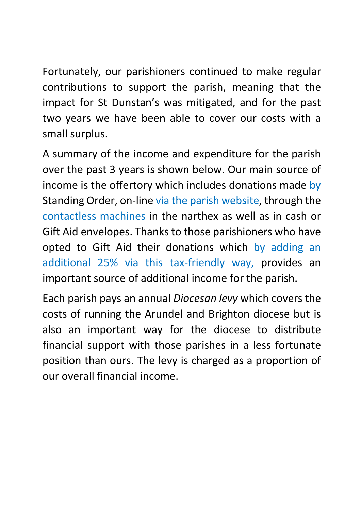Fortunately, our parishioners continued to make regular contributions to support the parish, meaning that the impact for St Dunstan's was mitigated, and for the past two years we have been able to cover our costs with a small surplus.

A summary of the income and expenditure for the parish over the past 3 years is shown below. Our main source of income is the offertory which includes donations made by Standing Order, on-line via the parish website, through the contactless machines in the narthex as well as in cash or Gift Aid envelopes. Thanks to those parishioners who have opted to Gift Aid their donations which by adding an additional 25% via this tax-friendly way, provides an important source of additional income for the parish.

Each parish pays an annual Diocesan levy which covers the costs of running the Arundel and Brighton diocese but is also an important way for the diocese to distribute financial support with those parishes in a less fortunate position than ours. The levy is charged as a proportion of our overall financial income.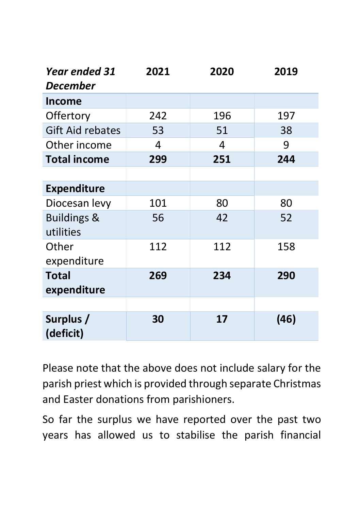| <b>Year ended 31</b><br><b>December</b> | 2021           | 2020           | 2019 |
|-----------------------------------------|----------------|----------------|------|
| <b>Income</b>                           |                |                |      |
| Offertory                               | 242            | 196            | 197  |
| <b>Gift Aid rebates</b>                 | 53             | 51             | 38   |
| Other income                            | $\overline{4}$ | $\overline{4}$ | 9    |
| <b>Total income</b>                     | 299            | 251            | 244  |
|                                         |                |                |      |
| <b>Expenditure</b>                      |                |                |      |
| Diocesan levy                           | 101            | 80             | 80   |
| <b>Buildings &amp;</b>                  | 56             | 42             | 52   |
| utilities                               |                |                |      |
| Other                                   | 112            | 112            | 158  |
| expenditure                             |                |                |      |
| <b>Total</b>                            | 269            | 234            | 290  |
| expenditure                             |                |                |      |
|                                         |                |                |      |
| Surplus /<br>(deficit)                  | 30             | 17             | (46) |

Please note that the above does not include salary for the parish priest which is provided through separate Christmas and Easter donations from parishioners.

So far the surplus we have reported over the past two years has allowed us to stabilise the parish financial